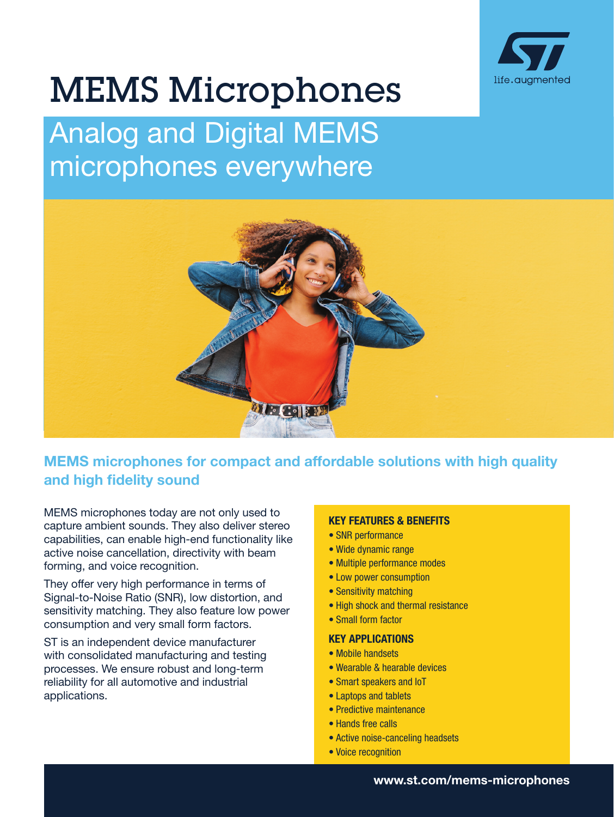

# MEMS Microphones

# Analog and Digital MEMS microphones everywhere



# MEMS microphones for compact and affordable solutions with high quality and high fidelity sound

MEMS microphones today are not only used to capture ambient sounds. They also deliver stereo capabilities, can enable high-end functionality like active noise cancellation, directivity with beam forming, and voice recognition.

They offer very high performance in terms of Signal-to-Noise Ratio (SNR), low distortion, and sensitivity matching. They also feature low power consumption and very small form factors.

ST is an independent device manufacturer with consolidated manufacturing and testing processes. We ensure robust and long-term reliability for all automotive and industrial applications.

#### KEY FEATURES & BENEFITS

- SNR performance
- Wide dynamic range
- Multiple performance modes
- Low power consumption
- Sensitivity matching
- High shock and thermal resistance
- Small form factor

#### KEY APPLICATIONS

- Mobile handsets
- Wearable & hearable devices
- Smart speakers and IoT
- Laptops and tablets
- Predictive maintenance
- Hands free calls
- Active noise-canceling headsets
- Voice recognition